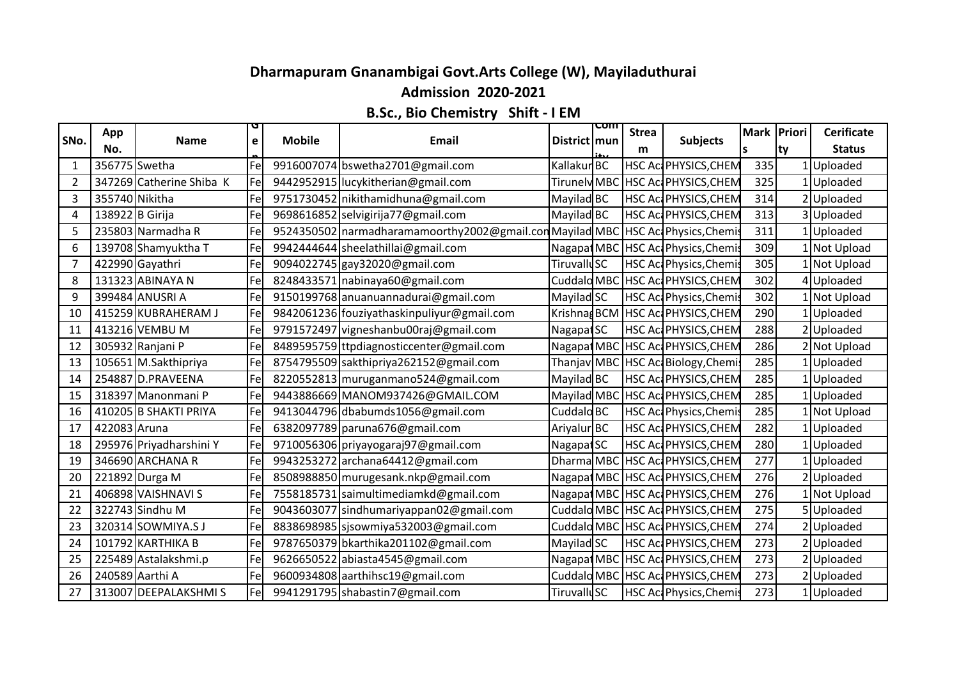## **Dharmapuram Gnanambigai Govt.Arts College (W), Mayiladuthurai**

## **Admission 2020-2021**

## **B.Sc., Bio Chemistry Shift - I EM**

| SNo.           | App<br>No.      | <b>Name</b>              | e   | <b>Mobile</b> | Email                                                       | District   mun         | com | <b>Strea</b><br>m | <b>Subjects</b>                    | Mark Priori<br>ls. | ty | <b>Cerificate</b><br><b>Status</b> |
|----------------|-----------------|--------------------------|-----|---------------|-------------------------------------------------------------|------------------------|-----|-------------------|------------------------------------|--------------------|----|------------------------------------|
|                | 356775 Swetha   |                          | Fel |               | 9916007074 bswetha2701@gmail.com                            | Kallakur <sup>BC</sup> |     |                   | <b>HSC AccPHYSICS, CHEM</b>        | 335                |    | 1 Uploaded                         |
| $\overline{2}$ |                 | 347269 Catherine Shiba K | Fel |               | 9442952915 lucykitherian@gmail.com                          | Tirunely MB            |     |                   | <b>HSC AccPHYSICS, CHEM</b>        | 325                |    | 1 Uploaded                         |
| 3              | 355740 Nikitha  |                          | Fel |               | 9751730452 nikithamidhuna@gmail.com                         | Mayilad BC             |     |                   | HSC Ac PHYSICS, CHEM               | 314                |    | 2 Uploaded                         |
| 4              | 138922 B Girija |                          | Fel |               | 9698616852 selvigirija77@gmail.com                          | Mayilad BC             |     |                   | HSC Ac PHYSICS, CHEM               | 313                |    | 3Uploaded                          |
| 5              |                 | 235803 Narmadha R        | Fel |               | 9524350502   narmadharamamoorthy 2002@gmail.com Mayilad MBC |                        |     |                   | HSC Act Physics, Chemis            | 311                |    | 1Uploaded                          |
| 6              |                 | 139708 Shamyuktha T      | Fel |               | 9942444644 sheelathillai@gmail.com                          | Nagapat MBC            |     |                   | HSC Ac Physics, Chemis             | 309                |    | 1 Not Upload                       |
|                |                 | 422990 Gayathri          | Fel |               | 9094022745 gay32020@gmail.com                               | <b>TiruvalluSC</b>     |     |                   | HSC Act Physics, Chemis            | 305                |    | 1 Not Upload                       |
| 8              |                 | 131323 ABINAYA N         | Fel |               | 8248433571 nabinaya60@gmail.com                             |                        |     |                   | Cuddald MBC HSC Ac PHYSICS, CHEM   | 302                |    | 4 Uploaded                         |
| 9              |                 | 399484 ANUSRI A          | Fel |               | 9150199768 anuanuannadurai@gmail.com                        | Mayilad SC             |     |                   | HSC Act Physics, Chemis            | 302                |    | 1 Not Upload                       |
| 10             |                 | 415259 KUBRAHERAM J      | Fel |               | 9842061236 fouziyathaskinpuliyur@gmail.com                  | Krishnag BCM           |     |                   | HSC Ac PHYSICS, CHEM               | 290                |    | 1 Uploaded                         |
| 11             |                 | 413216 VEMBU M           | Fel |               | 9791572497 vigneshanbu00raj@gmail.com                       | Nagapat SC             |     |                   | <b>HSC AccPHYSICS, CHEM</b>        | 288                |    | 2Uploaded                          |
| 12             |                 | 305932 Ranjani P         | Fel |               | 8489595759 ttpdiagnosticcenter@gmail.com                    | Nagapat MBC            |     |                   | HSC ActPHYSICS, CHEM               | 286                |    | 2 Not Upload                       |
| 13             |                 | 105651 M.Sakthipriya     | Fel |               | 8754795509 sakthipriya262152@gmail.com                      | Thanjav MBC            |     |                   | HSC Ac Biology, Chemis             | 285                |    | 1Uploaded                          |
| 14             |                 | 254887 D.PRAVEENA        | Fel |               | 8220552813 muruganmano524@gmail.com                         | Mayilad BC             |     |                   | HSC AccPHYSICS, CHEM               | 285                |    | 1 Uploaded                         |
| 15             |                 | 318397 Manonmani P       | Fel |               | 9443886669 MANOM937426@GMAIL.COM                            | Mayilad MBC            |     |                   | HSC Ac PHYSICS, CHEM               | 285                |    | 1 Uploaded                         |
| 16             |                 | 410205 B SHAKTI PRIYA    | Fel |               | 9413044796 dbabumds1056@gmail.com                           | Cuddalo <sub>BC</sub>  |     |                   | HSC Act Physics, Chemis            | 285                |    | 1 Not Upload                       |
| 17             | 422083 Aruna    |                          | Fel |               | 6382097789 paruna676@gmail.com                              | Ariyalur BC            |     |                   | HSC Ac PHYSICS, CHEM               | 282                |    | 1 Uploaded                         |
| 18             |                 | 295976 Priyadharshini Y  | Fel |               | 9710056306 priyayogaraj97@gmail.com                         | Nagapat SC             |     |                   | <b>HSC Ac PHYSICS, CHEM</b>        | 280                |    | 1Uploaded                          |
| 19             |                 | 346690 ARCHANA R         | Fel |               | 9943253272 archana64412@gmail.com                           |                        |     |                   | Dharma MBC HSC Ac PHYSICS, CHEM    | 277                |    | 1 Uploaded                         |
| 20             |                 | 221892 Durga M           | Fel |               | 8508988850 murugesank.nkp@gmail.com                         |                        |     |                   | Nagapat MBC   HSC Ac PHYSICS, CHEM | 276                |    | 2 Uploaded                         |
| 21             |                 | 406898 VAISHNAVI S       | Fel |               | 7558185731 saimultimediamkd@gmail.com                       |                        |     |                   | Nagapat MBC HSC Ac PHYSICS, CHEM   | 276                |    | 1 Not Upload                       |
| 22             |                 | 322743 Sindhu M          | Fel |               | 9043603077 sindhumariyappan02@gmail.com                     |                        |     |                   | Cuddald MBC HSC Ac PHYSICS, CHEM   | 275                |    | 5 Uploaded                         |
| 23             |                 | 320314 SOWMIYA.SJ        | Fel |               | 8838698985 sjsowmiya532003@gmail.com                        |                        |     |                   | Cuddald MBC HSC Ac PHYSICS, CHEM   | 274                |    | 2 Uploaded                         |
| 24             |                 | 101792 KARTHIKA B        | Fel |               | 9787650379 bkarthika201102@gmail.com                        | Mayilad SC             |     |                   | <b>HSC AccPHYSICS, CHEM</b>        | 273                |    | 2 Uploaded                         |
| 25             |                 | 225489 Astalakshmi.p     | Fel |               | 9626650522 abiasta4545@gmail.com                            | Nagapat MBC            |     |                   | HSC ActPHYSICS, CHEM               | 273                |    | 2 Uploaded                         |
| 26             |                 | 240589 Aarthi A          | Fel |               | 9600934808 aarthihsc19@gmail.com                            | Cuddalo MBC            |     |                   | HSC Ac PHYSICS, CHEM               | 273                |    | 2 Uploaded                         |
| 27             |                 | 313007 DEEPALAKSHMIS     | Fel |               | 9941291795 shabastin7@gmail.com                             | <b>TiruvalluSC</b>     |     |                   | HSC Act Physics, Chemis            | 273                |    | 1 Uploaded                         |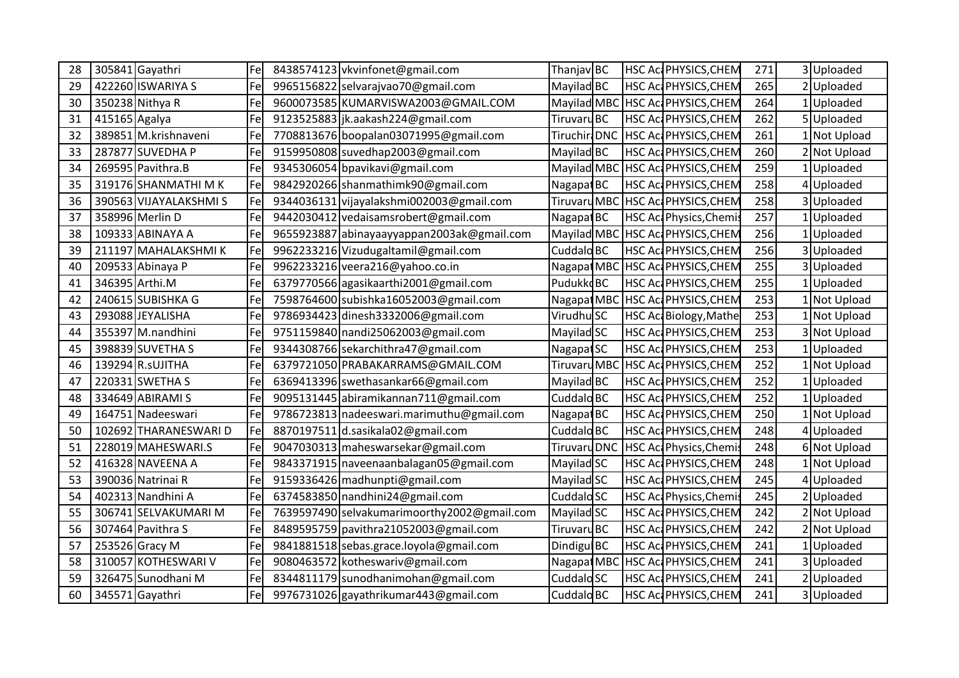| 28 |               | 305841 Gayathri        | Fel | 8438574123 vkvinfonet@gmail.com              | Thanjav BC             | HSC Ac PHYSICS, CHEM         | 271 | 3 Uploaded   |
|----|---------------|------------------------|-----|----------------------------------------------|------------------------|------------------------------|-----|--------------|
| 29 |               | 422260 ISWARIYA S      | Fel | 9965156822 selvarajvao70@gmail.com           | Mayilad BC             | HSC Ac PHYSICS, CHEM         | 265 | 2 Uploaded   |
| 30 |               | 350238 Nithya R        | Fe  | 9600073585 KUMARVISWA2003@GMAIL.COM          | Mayilad MBC            | <b>HSC Ac PHYSICS, CHEM</b>  | 264 | 1 Uploaded   |
| 31 | 415165 Agalya |                        | Fe  | 9123525883 jk.aakash224@gmail.com            | Tiruvaru <sub>BC</sub> | HSC Ac PHYSICS, CHEM         | 262 | 5 Uploaded   |
| 32 |               | 389851 M.krishnaveni   | Fe  | 7708813676 boopalan03071995@gmail.com        | Tiruchiri DNC          | <b>HSC AccPHYSICS, CHEM</b>  | 261 | 1 Not Upload |
| 33 |               | 287877 SUVEDHA P       | Fel | 9159950808 suvedhap2003@gmail.com            | Mayilad BC             | <b>HSC ActPHYSICS, CHEM</b>  | 260 | 2 Not Upload |
| 34 |               | 269595 Pavithra.B      | Fel | 9345306054 bpavikavi@gmail.com               | Mayilad MBC            | HSC Ac PHYSICS, CHEM         | 259 | 1 Uploaded   |
| 35 |               | 319176 SHANMATHI MK    | Fe  | 9842920266 shanmathimk90@gmail.com           | Nagapat BC             | <b>HSC ActPHYSICS, CHEM</b>  | 258 | Uploaded     |
| 36 |               | 390563 VIJAYALAKSHMI S | Fel | 9344036131 vijayalakshmi002003@gmail.com     | <b>Tiruvaru MBO</b>    | HSC Ac PHYSICS, CHEM         | 258 | 3 Uploaded   |
| 37 |               | 358996 Merlin D        | Fe  | 9442030412 vedaisamsrobert@gmail.com         | Nagapat BC             | HSC Act Physics, Chemis      | 257 | 1 Uploaded   |
| 38 |               | 109333 ABINAYA A       | Fel | 9655923887 abinayaayyappan2003ak@gmail.com   | Mayilad MBC            | <b>HSC Ac PHYSICS, CHEM</b>  | 256 | Uploaded     |
| 39 |               | 211197 MAHALAKSHMIK    | Fe  | 9962233216 Vizudugaltamil@gmail.com          | Cuddalo <sub>BC</sub>  | HSC ActPHYSICS, CHEM         | 256 | 3 Uploaded   |
| 40 |               | 209533 Abinaya P       | Fel | 9962233216 veera216@yahoo.co.in              | Nagapat MBC            | <b>HSC AccPHYSICS, CHEM</b>  | 255 | 3 Uploaded   |
| 41 |               | 346395 Arthi.M         | Fel | 6379770566 agasikaarthi 2001@gmail.com       | PudukkdBC              | HSC Ac PHYSICS, CHEM         | 255 | 1 Uploaded   |
| 42 |               | 240615 SUBISHKA G      | Fe  | 7598764600 subishka16052003@gmail.com        | Nagapat MBC            | <b>HSC Ac PHYSICS, CHEM</b>  | 253 | 1 Not Upload |
| 43 |               | 293088 JEYALISHA       | Fe  | 9786934423 dinesh3332006@gmail.com           | Virudhu <sup>SC</sup>  | <b>HSC Ac Biology, Mathe</b> | 253 | 1 Not Upload |
| 44 |               | 355397 M.nandhini      | Fel | 9751159840 nandi25062003@gmail.com           | Mayilad SC             | HSC Ac PHYSICS, CHEM         | 253 | 3 Not Upload |
| 45 |               | 398839 SUVETHA S       | Fel | 9344308766 sekarchithra47@gmail.com          | Nagapat SC             | HSC Ac PHYSICS, CHEM         | 253 | 1 Uploaded   |
| 46 |               | 139294 R.sUJITHA       | Fe  | 6379721050 PRABAKARRAMS@GMAIL.COM            | Tiruvaru MB            | <b>HSC AccPHYSICS, CHEM</b>  | 252 | 1 Not Upload |
| 47 |               | 220331 SWETHA S        | Fe  | 6369413396 swethasankar66@gmail.com          | Mayilad BC             | HSC Ac PHYSICS, CHEM         | 252 | 1 Uploaded   |
| 48 |               | 334649 ABIRAMI S       | Fe  | 9095131445 abiramikannan711@gmail.com        | Cuddalo <sub>BC</sub>  | HSC Ac PHYSICS, CHEM         | 252 | 1 Uploaded   |
| 49 |               | 164751 Nadeeswari      | Fel | 9786723813 nadeeswari.marimuthu@gmail.com    | Nagapat BC             | HSC Ac PHYSICS, CHEM         | 250 | 1 Not Upload |
| 50 |               | 102692 THARANESWARI D  | Fe  | 8870197511 d.sasikala02@gmail.com            | Cuddalo <sub>BC</sub>  | <b>HSC Ac PHYSICS, CHEM</b>  | 248 | 4 Uploaded   |
| 51 |               | 228019 MAHESWARI.S     | Fel | 9047030313 maheswarsekar@gmail.com           | <b>Tiruvaru DNC</b>    | HSC Act Physics, Chemis      | 248 | 6 Not Upload |
| 52 |               | 416328 NAVEENA A       | Fe  | 9843371915 naveenaanbalagan05@gmail.com      | Mayilad SC             | HSC Ac PHYSICS, CHEM         | 248 | 1 Not Upload |
| 53 |               | 390036 Natrinai R      | Fel | 9159336426 madhunpti@gmail.com               | Mayilad SC             | HSC Ac PHYSICS, CHEM         | 245 | 4 Uploaded   |
| 54 |               | 402313 Nandhini A      | Fe  | 6374583850 nandhini24@gmail.com              | Cuddalo <sub>SC</sub>  | HSC Act Physics, Chemis      | 245 | 2 Uploaded   |
| 55 |               | 306741 SELVAKUMARI M   | Fel | 7639597490 selvakumarimoorthy 2002@gmail.com | Mayilad SC             | HSC Ac PHYSICS, CHEM         | 242 | 2 Not Upload |
| 56 |               | 307464 Pavithra S      | Fel | 8489595759 pavithra21052003@gmail.com        | <b>Tiruvaru BC</b>     | <b>HSC ActPHYSICS, CHEM</b>  | 242 | 2 Not Upload |
| 57 |               | 253526 Gracy M         | Fel | 9841881518 sebas.grace.loyola@gmail.com      | Dindigu BC             | <b>HSC Ac PHYSICS, CHEM</b>  | 241 | 1 Uploaded   |
| 58 |               | 310057 KOTHESWARI V    | Fe  | 9080463572 kotheswariv@gmail.com             | Nagapat MB             | <b>HSC Ac PHYSICS, CHEM</b>  | 241 | 3Uploaded    |
| 59 |               | 326475 Sunodhani M     | Fel | 8344811179 sunodhanimohan@gmail.com          | Cuddalo <sub>SC</sub>  | HSC Ac PHYSICS, CHEM         | 241 | 2 Uploaded   |
| 60 |               | 345571 Gayathri        | Fe  | 9976731026 gayathrikumar443@gmail.com        | Cuddalo BC             | <b>HSC Ac PHYSICS, CHEM</b>  | 241 | 3 Uploaded   |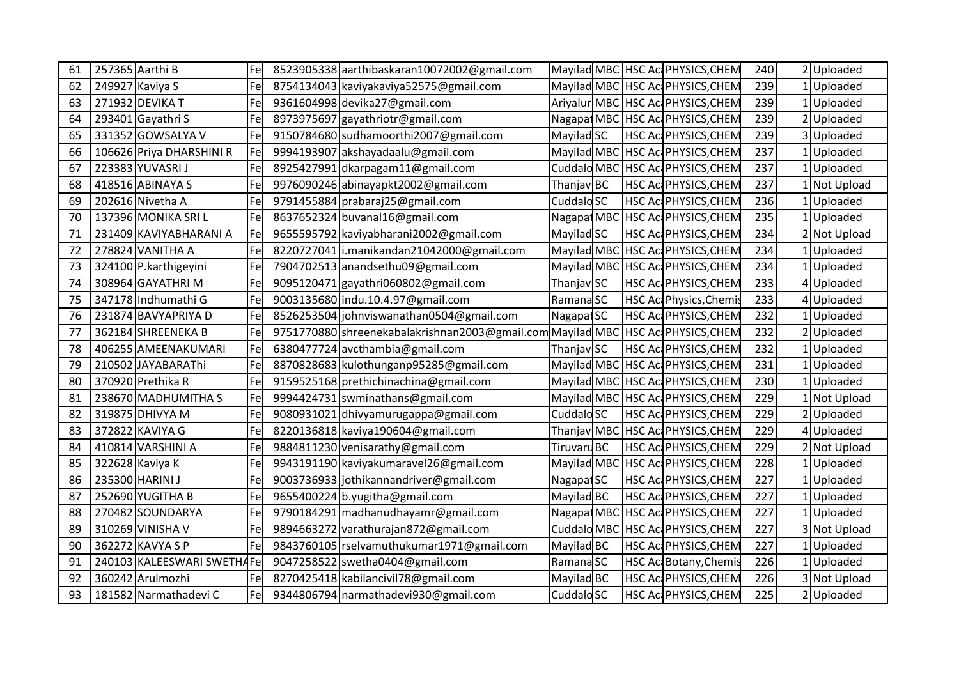| 61 | 257365 Aarthi B            | Fel         | 8523905338 aarthibaskaran10072002@gmail.com                |                       | Mayilad MBC HSC Ac PHYSICS, CHEM  | 240 | 2 Uploaded   |
|----|----------------------------|-------------|------------------------------------------------------------|-----------------------|-----------------------------------|-----|--------------|
| 62 | 249927 Kaviya S            | Fel         | 8754134043 kaviyakaviya52575@gmail.com                     | Mayilad MBC           | HSC Ac PHYSICS, CHEM              | 239 | 1 Uploaded   |
| 63 | 271932 DEVIKA T            | Fel         | 9361604998 devika27@gmail.com                              |                       | Ariyalur MBC HSC Ac PHYSICS, CHEM | 239 | 1 Uploaded   |
| 64 | 293401 Gayathri S          | Fe          | 8973975697 gayathriotr@gmail.com                           | Nagapat MBC           | HSC ActPHYSICS, CHEM              | 239 | 2 Uploaded   |
| 65 | 331352 GOWSALYA V          | Fel         | 9150784680 sudhamoorthi2007@gmail.com                      | Mayilad SC            | HSC Ac PHYSICS, CHEM              | 239 | 3Uploaded    |
| 66 | 106626 Priya DHARSHINI R   | Fe          | 9994193907 akshayadaalu@gmail.com                          | Mayilad MBC           | <b>HSC Ac PHYSICS, CHEM</b>       | 237 | 1 Uploaded   |
| 67 | 223383 YUVASRI J           | <b> Fel</b> | 8925427991 dkarpagam11@gmail.com                           | Cuddalo MBC           | HSC Ac PHYSICS, CHEM              | 237 | 1 Uploaded   |
| 68 | 418516 ABINAYA S           | Fe          | 9976090246 abinayapkt2002@gmail.com                        | Thanjav BC            | HSC Ac PHYSICS, CHEM              | 237 | 1 Not Upload |
| 69 | 202616 Nivetha A           | Fe          | 9791455884 prabaraj25@gmail.com                            | Cuddalo <sub>SC</sub> | HSC Ac PHYSICS, CHEM              | 236 | 1 Uploaded   |
| 70 | 137396 MONIKA SRI L        | Fe          | 8637652324 buvanal16@gmail.com                             | Nagapat MBC           | HSC Ac PHYSICS, CHEM              | 235 | 1 Uploaded   |
| 71 | 231409 KAVIYABHARANI A     | Fel         | 9655595792 kaviyabharani2002@gmail.com                     | Mayilad SC            | <b>HSC Ac PHYSICS, CHEM</b>       | 234 | 2 Not Upload |
| 72 | 278824 VANITHA A           | Fe          | 8220727041   i.manikandan21042000@gmail.com                | Mayilad MB            | <b>HSC Ac PHYSICS, CHEM</b>       | 234 | 1 Uploaded   |
| 73 | 324100 P.karthigeyini      | Fe          | 7904702513 anandsethu09@gmail.com                          | Mayilad MBO           | HSC Ac PHYSICS, CHEM              | 234 | 1 Uploaded   |
| 74 | 308964 GAYATHRI M          | Fel         | 9095120471 gayathri060802@gmail.com                        | Thanjav SC            | HSC Ac PHYSICS, CHEM              | 233 | 4 Uploaded   |
| 75 | 347178 Indhumathi G        | Fe          | 9003135680 indu.10.4.97@gmail.com                          | Ramana <sub>SC</sub>  | HSC Ac Physics, Chemis            | 233 | 4 Uploaded   |
| 76 | 231874 BAVYAPRIYA D        | Fe          | 8526253504 johnviswanathan0504@gmail.com                   | Nagapat SC            | HSC ActPHYSICS, CHEM              | 232 | 1 Uploaded   |
| 77 | 362184 SHREENEKA B         | Fe          | 9751770880 shreenekabalakrishnan2003@gmail.com Mayilad MBC |                       | HSC Ac PHYSICS, CHEM              | 232 | 2 Uploaded   |
| 78 | 406255 AMEENAKUMARI        | <b> Fe</b>  | 6380477724 avcthambia@gmail.com                            | Thanjav SC            | HSC Ac PHYSICS, CHEM              | 232 | 1 Uploaded   |
| 79 | 210502 JAYABARAThi         | Fe          | 8870828683 kulothunganp95285@gmail.com                     | Mayilad MBC           | <b>HSC Ac PHYSICS, CHEM</b>       | 231 | Uploaded     |
| 80 | 370920 Prethika R          | Fe          | 9159525168 prethichinachina@gmail.com                      | Mayilad MBC           | <b>HSC AccPHYSICS, CHEM</b>       | 230 | 1 Uploaded   |
| 81 | 238670 MADHUMITHA S        | Fe          | 9994424731 swminathans@gmail.com                           | Mayilad MBC           | HSC Ac PHYSICS, CHEM              | 229 | 1 Not Upload |
| 82 | 319875 DHIVYA M            | Fel         | 9080931021 dhivyamurugappa@gmail.com                       | Cuddalo <sub>SC</sub> | <b>HSC Ac PHYSICS, CHEM</b>       | 229 | 2 Uploaded   |
| 83 | 372822 KAVIYA G            | Fe          | 8220136818 kaviya190604@gmail.com                          | Thanjav MBC           | <b>HSC Ac PHYSICS, CHEM</b>       | 229 | 4 Uploaded   |
| 84 | 410814 VARSHINI A          | Fe          | 9884811230 venisarathy@gmail.com                           | <b>Tiruvaru BC</b>    | HSC Ac PHYSICS, CHEM              | 229 | 2 Not Upload |
| 85 | 322628 Kaviya K            | Fe          | 9943191190 kaviyakumaravel26@gmail.com                     | Mayilad MBC           | HSC ActPHYSICS, CHEM              | 228 | 1 Uploaded   |
| 86 | 235300 HARINI J            | Fe          | 9003736933 jothikannandriver@gmail.com                     | Nagapat SC            | HSC Ac PHYSICS, CHEM              | 227 | 1 Uploaded   |
| 87 | 252690 YUGITHA B           | Fe          | 9655400224 b.yugitha@gmail.com                             | Mayilad BC            | HSC Ac PHYSICS, CHEM              | 227 | Uploaded     |
| 88 | 270482 SOUNDARYA           | Fe          | 9790184291 madhanudhayamr@gmail.com                        | Nagapat MBC           | <b>HSC AccPHYSICS, CHEM</b>       | 227 | 1 Uploaded   |
| 89 | 310269 VINISHA V           | Fe          | 9894663272 varathurajan872@gmail.com                       | Cuddalo MBC           | <b>HSC Ac PHYSICS, CHEM</b>       | 227 | 3 Not Upload |
| 90 | 362272 KAVYA S P           | Fel         | 9843760105 rselvamuthukumar1971@gmail.com                  | Mayilad BC            | <b>HSC Ac PHYSICS, CHEM</b>       | 227 | 1 Uploaded   |
| 91 | 240103 KALEESWARI SWETHAFe |             | 9047258522 swetha0404@gmail.com                            | Ramana <sub>SC</sub>  | <b>HSC Ac Botany, Chemis</b>      | 226 | 1 Uploaded   |
| 92 | 360242 Arulmozhi           | Fel         | 8270425418 kabilancivil78@gmail.com                        | Mayilad BC            | HSC Ac PHYSICS, CHEM              | 226 | 3 Not Upload |
| 93 | 181582 Narmathadevi C      | Fe          | 9344806794 narmathadevi930@gmail.com                       | Cuddalo <sub>SC</sub> | HSC Ac PHYSICS, CHEM              | 225 | 2 Uploaded   |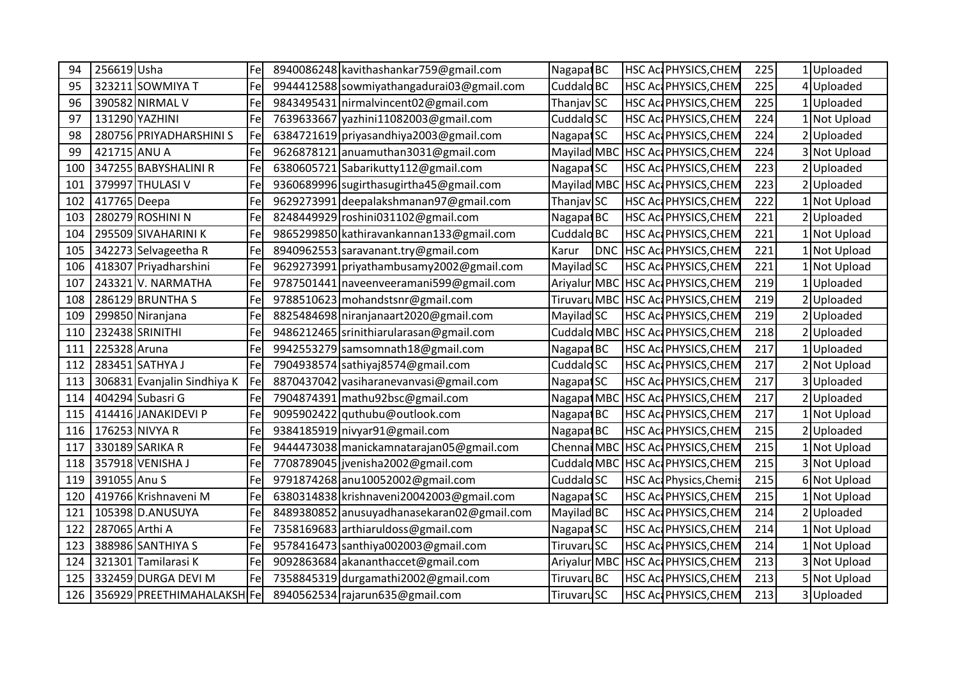| 94  | 256619 Usha    |                             | Fel | 8940086248 kavithashankar759@gmail.com     | Nagapat BC             |            | HSC Ac PHYSICS, CHEM        | 225 | 1 Uploaded   |
|-----|----------------|-----------------------------|-----|--------------------------------------------|------------------------|------------|-----------------------------|-----|--------------|
| 95  |                | 323211 SOWMIYA T            | Fel | 9944412588 sowmiyathangadurai03@gmail.com  | Cuddalo <sub>BC</sub>  |            | HSC ActPHYSICS, CHEM        | 225 | 4 Uploaded   |
| 96  |                | 390582 NIRMAL V             | Fe  | 9843495431 nirmalvincent02@gmail.com       | Thanjav SC             |            | HSC ActPHYSICS, CHEM        | 225 | 1 Uploaded   |
| 97  |                | 131290 YAZHINI              | Fel | 7639633667 yazhini11082003@gmail.com       | Cuddalo <sub>SC</sub>  |            | HSC Ac PHYSICS, CHEM        | 224 | 1 Not Upload |
| 98  |                | 280756 PRIYADHARSHINI S     | Fel | 6384721619 priyasandhiya2003@gmail.com     | Nagapat SC             |            | HSC Ac PHYSICS, CHEM        | 224 | 2Uploaded    |
| 99  | 421715 ANU A   |                             | Fe  | 9626878121 anuamuthan 3031@gmail.com       | Mayilad MB             |            | <b>HSC AccPHYSICS, CHEM</b> | 224 | 3 Not Upload |
| 100 |                | 347255 BABYSHALINI R        | Fel | 6380605721 Sabarikutty112@gmail.com        | Nagapat SC             |            | <b>HSC Ac PHYSICS, CHEM</b> | 223 | 2 Uploaded   |
| 101 |                | 379997 THULASI V            | Fel | 9360689996 sugirthasugirtha45@gmail.com    | Mayilad MB             |            | HSC Ac PHYSICS, CHEM        | 223 | Uploaded     |
| 102 | 417765 Deepa   |                             | Fel | 9629273991 deepalakshmanan97@gmail.com     | Thanjav <sub>SC</sub>  |            | HSC Ac PHYSICS, CHEM        | 222 | 1 Not Upload |
| 103 |                | 280279 ROSHINI N            | Fe  | 8248449929 roshini031102@gmail.com         | Nagapat BC             |            | HSC ActPHYSICS, CHEM        | 221 | 2 Uploaded   |
| 104 |                | 295509 SIVAHARINI K         | Fel | 9865299850 kathiravankannan133@gmail.com   | Cuddalo <sub>BC</sub>  |            | <b>HSC Ac PHYSICS, CHEM</b> | 221 | 1 Not Upload |
| 105 |                | 342273 Selvageetha R        | Fe  | 8940962553 saravanant.try@gmail.com        | Karur                  | <b>DNC</b> | <b>HSC AccPHYSICS, CHEM</b> | 221 | 1 Not Upload |
| 106 |                | 418307 Priyadharshini       | Fe  | 9629273991 priyathambusamy2002@gmail.com   | Mayilad SC             |            | HSC Ac PHYSICS, CHEM        | 221 | 1 Not Upload |
| 107 |                | 243321 V. NARMATHA          | Fe  | 9787501441 naveenveeramani599@gmail.com    | Ariyalur MBC           |            | <b>HSC Ac PHYSICS, CHEM</b> | 219 | 1 Uploaded   |
| 108 |                | 286129 BRUNTHA S            | Fel | 9788510623 mohandstsnr@gmail.com           | <b>Tiruvaru MBC</b>    |            | HSC Ac PHYSICS, CHEM        | 219 | 2 Uploaded   |
| 109 |                | 299850 Niranjana            | Fel | 8825484698 niranjanaart2020@gmail.com      | Mayilad SC             |            | HSC ActPHYSICS, CHEM        | 219 | 2 Uploaded   |
| 110 |                | 232438 SRINITHI             | Fe  | 9486212465 srinithiarularasan@gmail.com    | Cuddalo MBC            |            | HSC Ac PHYSICS, CHEM        | 218 | 2 Uploaded   |
| 111 | 225328 Aruna   |                             | Fe  | 9942553279 samsomnath18@gmail.com          | Nagapat BC             |            | HSC ActPHYSICS, CHEM        | 217 | 1 Uploaded   |
| 112 |                | 283451 SATHYA J             | Fel | 7904938574 sathiyaj8574@gmail.com          | Cuddalo <sub>SC</sub>  |            | HSC ActPHYSICS, CHEM        | 217 | 2 Not Upload |
| 113 |                | 306831 Evanjalin Sindhiya K | Fe  | 8870437042 vasiharanevanvasi@gmail.com     | Nagapat SC             |            | HSC ActPHYSICS, CHEM        | 217 | 3 Uploaded   |
| 114 |                | 404294 Subasri G            | Fe  | 7904874391 mathu92bsc@gmail.com            | Nagapat MB             |            | HSC Ac PHYSICS, CHEM        | 217 | 2 Uploaded   |
| 115 |                | 414416 JANAKIDEVI P         | Fe  | 9095902422 quthubu@outlook.com             | Nagapat BC             |            | <b>HSC Ac PHYSICS, CHEM</b> | 217 | 1 Not Upload |
| 116 |                | 176253 NIVYA R              | Fel | 9384185919 nivyar91@gmail.com              | Nagapat BC             |            | HSC ActPHYSICS, CHEM        | 215 | 2 Uploaded   |
| 117 |                | 330189 SARIKA R             | Fel | 9444473038 manickamnatarajan05@gmail.com   | Chennai MBC            |            | <b>HSC AccPHYSICS, CHEM</b> | 215 | 1 Not Upload |
| 118 |                | 357918 VENISHA J            | Fe  | 7708789045 jvenisha2002@gmail.com          | Cuddalo MBC            |            | HSC ActPHYSICS, CHEM        | 215 | 3 Not Upload |
| 119 | 391055 Anu S   |                             | Fe  | 9791874268 anu10052002@gmail.com           | Cuddalo <sub>SC</sub>  |            | HSC Act Physics, Chemis     | 215 | 6 Not Upload |
| 120 |                | 419766 Krishnaveni M        | Fel | 6380314838 krishnaveni 20042003@gmail.com  | Nagapat SC             |            | HSC ActPHYSICS, CHEM        | 215 | 1 Not Upload |
| 121 |                | 105398 D.ANUSUYA            | Fe  | 8489380852 anusuyadhanasekaran02@gmail.com | Mayilad BC             |            | HSC ActPHYSICS, CHEM        | 214 | 2Uploaded    |
| 122 | 287065 Arthi A |                             | Fe  | 7358169683 arthiaruldoss@gmail.com         | Nagapat <sub>SC</sub>  |            | HSC ActPHYSICS, CHEM        | 214 | 1 Not Upload |
| 123 |                | 388986 SANTHIYA S           | Fe  | 9578416473 santhiya002003@gmail.com        | Tiruvaru <sub>SC</sub> |            | HSC ActPHYSICS, CHEM        | 214 | 1 Not Upload |
| 124 |                | 321301 Tamilarasi K         | Fel | 9092863684 akananthaccet@gmail.com         | Ariyalur MBO           |            | HSC Ac PHYSICS, CHEM        | 213 | 3 Not Upload |
| 125 |                | 332459 DURGA DEVI M         | Fe  | 7358845319 durgamathi2002@gmail.com        | <b>Tiruvaru BC</b>     |            | HSC AccPHYSICS, CHEM        | 213 | 5 Not Upload |
| 126 |                | 356929 PREETHIMAHALAKSH Fe  |     | 8940562534 rajarun635@gmail.com            | Tiruvaru <sub>SC</sub> |            | HSC Ac PHYSICS, CHEM        | 213 | 3 Uploaded   |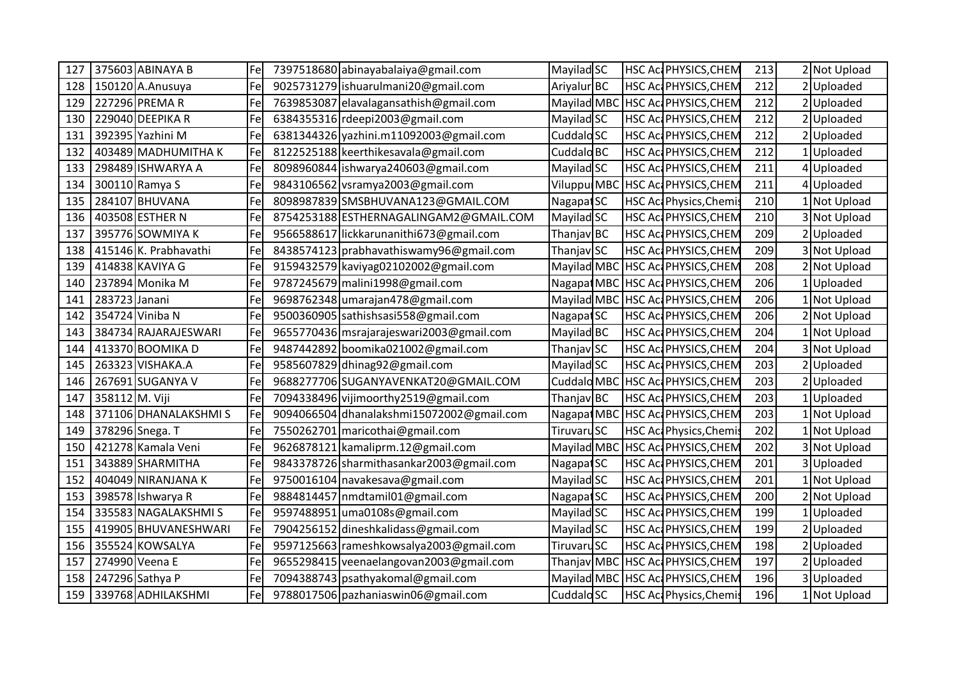| 127 |                | 375603 ABINAYA B      | Fel | 7397518680 abinayabalaiya@gmail.com       | Mayilad SC             |  | HSC Ac PHYSICS, CHEM        | 213 |    | 2 Not Upload |
|-----|----------------|-----------------------|-----|-------------------------------------------|------------------------|--|-----------------------------|-----|----|--------------|
| 128 |                | 150120 A.Anusuya      | Fel | 9025731279 ishuarulmani20@gmail.com       | Ariyalur BC            |  | HSC Ac PHYSICS, CHEM        | 212 |    | 2 Uploaded   |
| 129 |                | 227296 PREMAR         | Fel | 7639853087 elavalagansathish@gmail.com    | Mayilad MBC            |  | HSC Ac PHYSICS, CHEM        | 212 |    | 2 Uploaded   |
| 130 |                | 229040 DEEPIKA R      | Fel | 6384355316 rdeepi2003@gmail.com           | Mayilad SC             |  | HSC ActPHYSICS, CHEM        | 212 |    | 2 Uploaded   |
| 131 |                | 392395 Yazhini M      | Fel | 6381344326 yazhini.m11092003@gmail.com    | Cuddalo <sub>SC</sub>  |  | HSC ActPHYSICS, CHEM        | 212 |    | 2 Uploaded   |
| 132 |                | 403489 MADHUMITHA K   | Fe  | 8122525188 keerthikesavala@gmail.com      | Cuddalo <sub>BC</sub>  |  | HSC AccPHYSICS, CHEM        | 212 |    | 1 Uploaded   |
| 133 |                | 298489 ISHWARYA A     | Fel | 8098960844 ishwarya240603@gmail.com       | Mayilad SC             |  | HSC Ac PHYSICS, CHEM        | 211 |    | 4 Uploaded   |
| 134 |                | 300110 Ramya S        | Fel | 9843106562 vsramya2003@gmail.com          | Viluppul MBC           |  | <b>HSC AccPHYSICS, CHEM</b> | 211 | 41 | Uploaded     |
| 135 |                | 284107 BHUVANA        | Fel | 8098987839 SMSBHUVANA123@GMAIL.COM        | Nagapat SC             |  | HSC Act Physics, Chemis     | 210 |    | 1 Not Upload |
| 136 |                | 403508 ESTHER N       | Fel | 8754253188 ESTHERNAGALINGAM2@GMAIL.COM    | Mayilad SC             |  | HSC Ac PHYSICS, CHEM        | 210 |    | 3 Not Upload |
| 137 |                | 395776 SOWMIYA K      | Fe  | 9566588617 lickkarunanithi673@gmail.com   | Thanjav BC             |  | HSC Ac PHYSICS, CHEM        | 209 |    | 2 Uploaded   |
| 138 |                | 415146 K. Prabhavathi | Fe  | 8438574123 prabhavathiswamy96@gmail.com   | Thanjav SC             |  | HSC ActPHYSICS, CHEM        | 209 |    | 3 Not Upload |
| 139 |                | 414838 KAVIYA G       | Fel | 9159432579 kaviyag02102002@gmail.com      | Mayilad MBC            |  | <b>HSC Ac PHYSICS, CHEM</b> | 208 |    | 2 Not Upload |
| 140 |                | 237894 Monika M       | Fel | 9787245679 malini1998@gmail.com           | Nagapat MBC            |  | HSC ActPHYSICS, CHEM        | 206 |    | 1 Uploaded   |
| 141 | 283723 Janani  |                       | Fe  | 9698762348 umarajan478@gmail.com          | Mayilad MBC            |  | HSC AccPHYSICS, CHEM        | 206 |    | 1 Not Upload |
| 142 |                | 354724 Viniba N       | Fe  | 9500360905 sathishsasi558@gmail.com       | Nagapat SC             |  | HSC ActPHYSICS, CHEM        | 206 |    | 2 Not Upload |
| 143 |                | 384734 RAJARAJESWARI  | Fel | 9655770436 msrajarajeswari2003@gmail.com  | Mayilad BC             |  | HSC Ac PHYSICS, CHEM        | 204 |    | 1 Not Upload |
| 144 |                | 413370 BOOMIKA D      | Fe  | 9487442892 boomika021002@gmail.com        | Thanjav SC             |  | HSC Ac PHYSICS, CHEM        | 204 |    | 3 Not Upload |
| 145 |                | 263323 VISHAKA.A      | Fel | 9585607829 dhinag92@gmail.com             | Mayilad SC             |  | HSC Ac PHYSICS, CHEM        | 203 |    | 2Uploaded    |
| 146 |                | 267691 SUGANYA V      | Fel | 9688277706 SUGANYAVENKAT20@GMAIL.COM      | Cuddalo MBC            |  | <b>HSC Ac PHYSICS, CHEM</b> | 203 |    | 2 Uploaded   |
| 147 | 358112 M. Viji |                       | Fe  | 7094338496 vijimoorthy2519@gmail.com      | Thanjav BC             |  | HSC Ac PHYSICS, CHEM        | 203 |    | 1 Uploaded   |
| 148 |                | 371106 DHANALAKSHMIS  | Fe  | 9094066504 dhanalakshmi15072002@gmail.com | Nagapat MBC            |  | <b>HSC AccPHYSICS, CHEM</b> | 203 |    | 1 Not Upload |
| 149 |                | 378296 Snega. T       | Fe  | 7550262701 maricothai@gmail.com           | Tiruvaru <sub>SC</sub> |  | HSC Act Physics, Chemis     | 202 |    | 1 Not Upload |
| 150 |                | 421278 Kamala Veni    | Fel | 9626878121 kamaliprm.12@gmail.com         | Mayilad MB             |  | <b>HSC Ac PHYSICS, CHEM</b> | 202 |    | 3 Not Upload |
| 151 |                | 343889 SHARMITHA      | Fe  | 9843378726 sharmithasankar2003@gmail.com  | Nagapat SC             |  | HSC Ac PHYSICS, CHEM        | 201 |    | 3 Uploaded   |
| 152 |                | 404049 NIRANJANA K    | Fel | 9750016104 navakesava@gmail.com           | Mayilad SC             |  | HSC Ac PHYSICS, CHEM        | 201 |    | 1 Not Upload |
| 153 |                | 398578 Ishwarya R     | Fe  | 9884814457 nmdtamil01@gmail.com           | Nagapat <sub>SC</sub>  |  | HSC ActPHYSICS, CHEM        | 200 |    | 2 Not Upload |
| 154 |                | 335583 NAGALAKSHMIS   | Fe  | 9597488951 uma0108s@gmail.com             | Mayilad SC             |  | <b>HSC Ac PHYSICS, CHEM</b> | 199 |    | 1 Uploaded   |
| 155 |                | 419905 BHUVANESHWARI  | Fel | 7904256152 dineshkalidass@gmail.com       | Mayilad SC             |  | HSC Ac PHYSICS, CHEM        | 199 |    | 2 Uploaded   |
| 156 |                | 355524 KOWSALYA       | Fe  | 9597125663 rameshkowsalya2003@gmail.com   | Tiruvaru <sub>SC</sub> |  | <b>HSC Ac PHYSICS, CHEM</b> | 198 |    | 2 Uploaded   |
| 157 |                | 274990 Veena E        | Fel | 9655298415 veenaelangovan2003@gmail.com   | Thanjav MBC            |  | HSC Ac PHYSICS, CHEM        | 197 |    | 2 Uploaded   |
| 158 |                | 247296 Sathya P       | Fel | 7094388743 psathyakomal@gmail.com         | Mayilad MBC            |  | HSC ActPHYSICS, CHEM        | 196 |    | 3Uploaded    |
| 159 |                | 339768 ADHILAKSHMI    | Fe  | 9788017506 pazhaniaswin06@gmail.com       | Cuddalo <sub>SC</sub>  |  | HSC Act Physics, Chemis     | 196 |    | 1 Not Upload |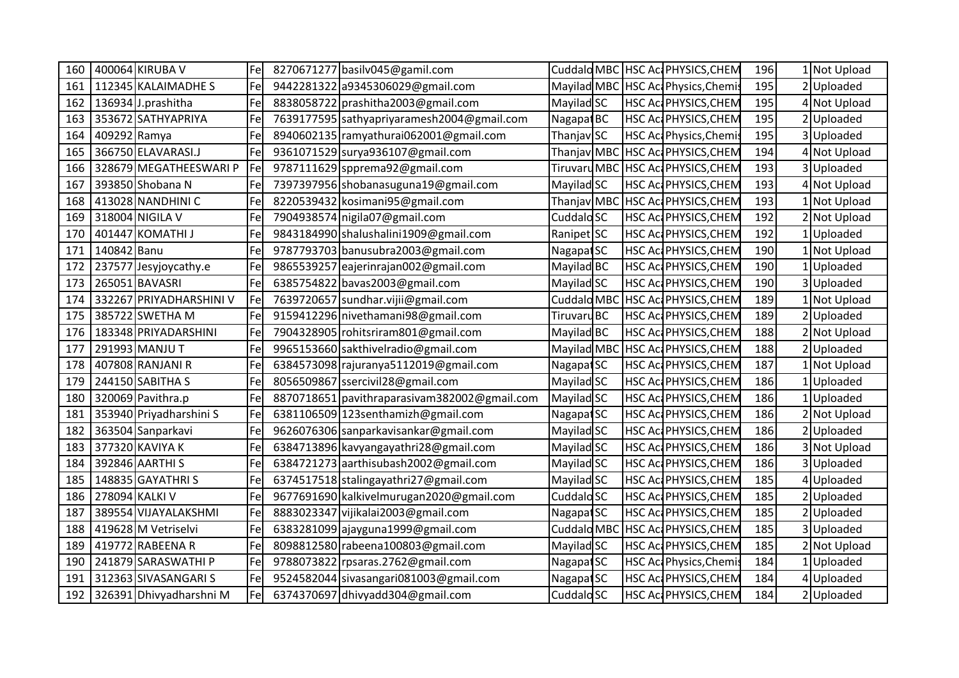| 160 |              | 400064 KIRUBA V         | Fel | 8270671277 basilv045@gamil.com               |                       |  | Cuddald MBC HSC Ac PHYSICS, CHEM   | 196 | 1 Not Upload |
|-----|--------------|-------------------------|-----|----------------------------------------------|-----------------------|--|------------------------------------|-----|--------------|
| 161 |              | 112345 KALAIMADHE S     | Fel | 9442281322 a9345306029@gmail.com             |                       |  | Mayilad MBC HSC Ac Physics, Chemis | 195 | 2 Uploaded   |
| 162 |              | 136934 J.prashitha      | Fe  | 8838058722 prashitha 2003@gmail.com          | Mayilad SC            |  | <b>HSC Ac PHYSICS, CHEM</b>        | 195 | 4 Not Upload |
| 163 |              | 353672 SATHYAPRIYA      | Fe  | 7639177595 sathyapriyaramesh2004@gmail.com   | Nagapat BC            |  | HSC ActPHYSICS, CHEM               | 195 | 2 Uploaded   |
| 164 | 409292 Ramya |                         | Fe  | 8940602135   ramyathurai062001@gmail.com     | Thanjav SC            |  | HSC Act Physics, Chemis            | 195 | 3 Uploaded   |
| 165 |              | 366750 ELAVARASI.J      | Fe  | 9361071529 surya936107@gmail.com             | Thanjav MBC           |  | HSC Ac PHYSICS, CHEM               | 194 | 4 Not Upload |
| 166 |              | 328679 MEGATHEESWARI P  | Fe  | 9787111629 spprema92@gmail.com               |                       |  | TiruvaruMBC HSC Ac PHYSICS, CHEM   | 193 | 3 Uploaded   |
| 167 |              | 393850 Shobana N        | Fe  | 7397397956 shobanasuguna19@gmail.com         | Mayilad SC            |  | <b>HSC Ac PHYSICS, CHEM</b>        | 193 | 4 Not Upload |
| 168 |              | 413028 NANDHINI C       | Fe  | 8220539432 kosimani95@gmail.com              | Thanjav MBC           |  | HSC Ac PHYSICS, CHEM               | 193 | 1 Not Upload |
| 169 |              | 318004 NIGILA V         | Fe  | 7904938574 nigila07@gmail.com                | Cuddalo <sub>SC</sub> |  | HSC Ac PHYSICS, CHEM               | 192 | 2 Not Upload |
| 170 |              | 401447 KOMATHI J        | Fel | 9843184990 shalushalini1909@gmail.com        | Ranipet SC            |  | <b>HSC Ac PHYSICS, CHEM</b>        | 192 | 1 Uploaded   |
| 171 | 140842 Banu  |                         | Fe  | 9787793703 banusubra2003@gmail.com           | Nagapat <sub>SC</sub> |  | HSC ActPHYSICS, CHEM               | 190 | 1 Not Upload |
| 172 |              | 237577 Jesyjoycathy.e   | Fe  | 9865539257 eajerinrajan002@gmail.com         | Mayilad BC            |  | HSC Ac PHYSICS, CHEM               | 190 | 1 Uploaded   |
| 173 |              | 265051 BAVASRI          | Fel | 6385754822 bavas2003@gmail.com               | Mayilad SC            |  | HSC ActPHYSICS, CHEM               | 190 | 3 Uploaded   |
| 174 |              | 332267 PRIYADHARSHINI V | Fe  | 7639720657 sundhar.vijij@gmail.com           | Cuddalo MBC           |  | HSC Ac PHYSICS, CHEM               | 189 | 1 Not Upload |
| 175 |              | 385722 SWETHA M         | Fe  | 9159412296 nivethamani98@gmail.com           | <b>Tiruvaru BC</b>    |  | HSC ActPHYSICS, CHEM               | 189 | 2 Uploaded   |
| 176 |              | 183348 PRIYADARSHINI    | Fe  | 7904328905 rohitsriram801@gmail.com          | Mayilad BC            |  | HSC Ac PHYSICS, CHEM               | 188 | 2 Not Upload |
| 177 |              | 291993 MANJU T          | Fel | 9965153660 sakthivelradio@gmail.com          | Mayilad MBC           |  | HSC Ac PHYSICS, CHEM               | 188 | 2 Uploaded   |
| 178 |              | 407808 RANJANI R        | Fe  | 6384573098 rajuranya5112019@gmail.com        | Nagapat <sub>SC</sub> |  | <b>HSC Ac PHYSICS, CHEM</b>        | 187 | 1 Not Upload |
| 179 |              | 244150 SABITHA S        | Fe  | 8056509867 ssercivil28@gmail.com             | Mayilad SC            |  | HSC ActPHYSICS, CHEM               | 186 | 1 Uploaded   |
| 180 |              | 320069 Pavithra.p       | Fe  | 8870718651 pavithraparasivam382002@gmail.com | Mayilad SC            |  | HSC Ac PHYSICS, CHEM               | 186 | 1 Uploaded   |
| 181 |              | 353940 Priyadharshini S | Fe  | 6381106509 123senthamizh@gmail.com           | Nagapat SC            |  | HSC ActPHYSICS, CHEM               | 186 | 2 Not Upload |
| 182 |              | 363504 Sanparkavi       | Fe  | 9626076306 sanparkavisankar@gmail.com        | Mayilad SC            |  | HSC ActPHYSICS, CHEM               | 186 | 2 Uploaded   |
| 183 |              | 377320 KAVIYA K         | Fe  | 6384713896 kavyangayathri28@gmail.com        | Mayilad SC            |  | HSC ActPHYSICS, CHEM               | 186 | 3 Not Upload |
| 184 |              | 392846 AARTHI S         | Fe  | 6384721273 aarthisubash2002@gmail.com        | Mayilad SC            |  | HSC Act PHYSICS, CHEM              | 186 | 3 Uploaded   |
| 185 |              | 148835 GAYATHRI S       | Fel | 6374517518 stalingayathri27@gmail.com        | Mayilad SC            |  | HSC ActPHYSICS, CHEM               | 185 | 4 Uploaded   |
| 186 |              | 278094 KALKI V          | Fe  | 9677691690 kalkivelmurugan2020@gmail.com     | Cuddalo <sub>SC</sub> |  | HSC ActPHYSICS, CHEM               | 185 | Uploaded     |
| 187 |              | 389554 VIJAYALAKSHMI    | Fel | 8883023347 vijikalai2003@gmail.com           | Nagapat SC            |  | HSC ActPHYSICS, CHEM               | 185 | 2 Uploaded   |
| 188 |              | 419628 M Vetriselvi     | Fe  | 6383281099 ajayguna1999@gmail.com            | Cuddalo MBO           |  | HSC ActPHYSICS, CHEM               | 185 | 3 Uploaded   |
| 189 |              | 419772 RABEENA R        | Fel | 8098812580 rabeena100803@gmail.com           | Mayilad SC            |  | <b>HSC Ac PHYSICS, CHEM</b>        | 185 | 2 Not Upload |
| 190 |              | 241879 SARASWATHI P     | Fe  | 9788073822 rpsaras.2762@gmail.com            | Nagapat <sub>SC</sub> |  | HSC Act Physics, Chemis            | 184 | 1 Uploaded   |
| 191 |              | 312363 SIVASANGARI S    | Fel | 9524582044 sivasangari081003@gmail.com       | Nagapat SC            |  | HSC Ac PHYSICS, CHEM               | 184 | 4 Uploaded   |
| 192 |              | 326391 Dhivyadharshni M | Fe  | 6374370697 dhivyadd304@gmail.com             | Cuddalo <sub>SC</sub> |  | HSC Ac PHYSICS, CHEM               | 184 | 2 Uploaded   |